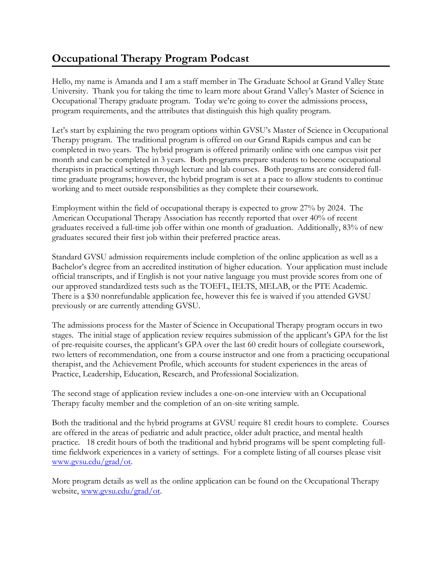## **Occupational Therapy Program Podcast**

Hello, my name is Amanda and I am a staff member in The Graduate School at Grand Valley State University. Thank you for taking the time to learn more about Grand Valley's Master of Science in Occupational Therapy graduate program. Today we're going to cover the admissions process, program requirements, and the attributes that distinguish this high quality program.

Let's start by explaining the two program options within GVSU's Master of Science in Occupational Therapy program. The traditional program is offered on our Grand Rapids campus and can be completed in two years. The hybrid program is offered primarily online with one campus visit per month and can be completed in 3 years. Both programs prepare students to become occupational therapists in practical settings through lecture and lab courses. Both programs are considered fulltime graduate programs; however, the hybrid program is set at a pace to allow students to continue working and to meet outside responsibilities as they complete their coursework.

Employment within the field of occupational therapy is expected to grow 27% by 2024. The American Occupational Therapy Association has recently reported that over 40% of recent graduates received a full-time job offer within one month of graduation. Additionally, 83% of new graduates secured their first job within their preferred practice areas.

Standard GVSU admission requirements include completion of the online application as well as a Bachelor's degree from an accredited institution of higher education. Your application must include official transcripts, and if English is not your native language you must provide scores from one of our approved standardized tests such as the TOEFL, IELTS, MELAB, or the PTE Academic. There is a \$30 nonrefundable application fee, however this fee is waived if you attended GVSU previously or are currently attending GVSU.

The admissions process for the Master of Science in Occupational Therapy program occurs in two stages. The initial stage of application review requires submission of the applicant's GPA for the list of pre-requisite courses, the applicant's GPA over the last 60 credit hours of collegiate coursework, two letters of recommendation, one from a course instructor and one from a practicing occupational therapist, and the Achievement Profile, which accounts for student experiences in the areas of Practice, Leadership, Education, Research, and Professional Socialization.

The second stage of application review includes a one-on-one interview with an Occupational Therapy faculty member and the completion of an on-site writing sample.

Both the traditional and the hybrid programs at GVSU require 81 credit hours to complete. Courses are offered in the areas of pediatric and adult practice, older adult practice, and mental health practice. 18 credit hours of both the traditional and hybrid programs will be spent completing fulltime fieldwork experiences in a variety of settings. For a complete listing of all courses please visit [www.gvsu.edu/grad/ot.](http://www.gvsu.edu/grad/ot)

More program details as well as the online application can be found on the Occupational Therapy website, [www.gvsu.edu/grad/ot.](http://www.gvsu.edu/grad/ot)